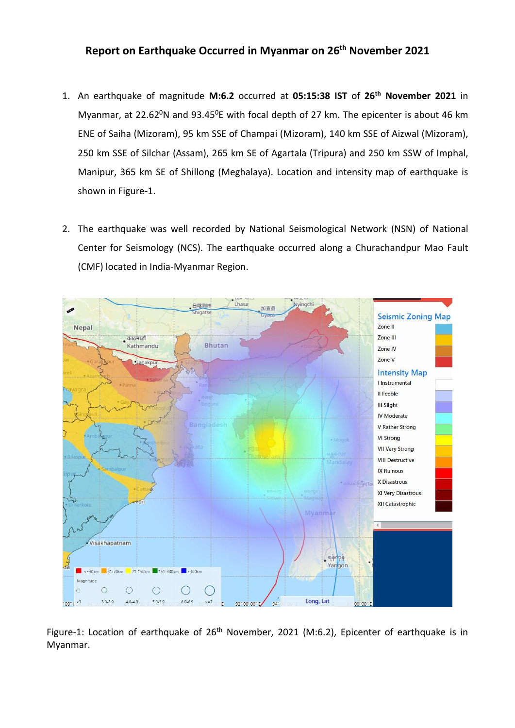## **Report on Earthquake Occurred in Myanmar on 26 th November 2021**

- 1. An earthquake of magnitude **M:6.2** occurred at **05:15:38 IST** of **26th November 2021** in Myanmar, at 22.62<sup>0</sup>N and 93.45<sup>0</sup>E with focal depth of 27 km. The epicenter is about 46 km ENE of Saiha (Mizoram), 95 km SSE of Champai (Mizoram), 140 km SSE of Aizwal (Mizoram), 250 km SSE of Silchar (Assam), 265 km SE of Agartala (Tripura) and 250 km SSW of Imphal, Manipur, 365 km SE of Shillong (Meghalaya). Location and intensity map of earthquake is shown in Figure-1.
- 2. The earthquake was well recorded by National Seismological Network (NSN) of National Center for Seismology (NCS). The earthquake occurred along a Churachandpur Mao Fault (CMF) located in India-Myanmar Region.



Figure-1: Location of earthquake of 26<sup>th</sup> November, 2021 (M:6.2), Epicenter of earthquake is in Myanmar.